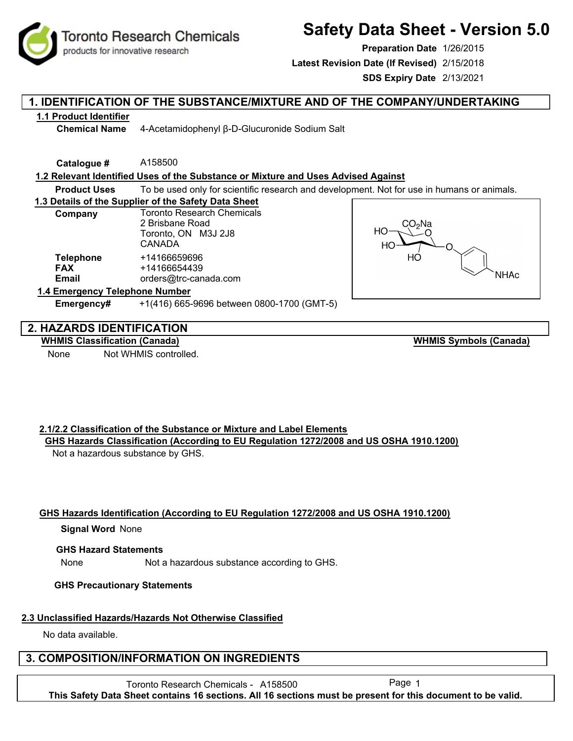**Toronto Research Chemicals** products for innovative research

# **Safety Data Sheet - Version 5.0**

**Preparation Date** 1/26/2015

**Latest Revision Date (If Revised)** 2/15/2018

**SDS Expiry Date** 2/13/2021

# **1. IDENTIFICATION OF THE SUBSTANCE/MIXTURE AND OF THE COMPANY/UNDERTAKING**

### **1.1 Product Identifier**

**Chemical Name** 4-Acetamidophenyl β-D-Glucuronide Sodium Salt

**Catalogue #** A158500

### **1.2 Relevant Identified Uses of the Substance or Mixture and Uses Advised Against**

**Product Uses** To be used only for scientific research and development. Not for use in humans or animals.

#### **1.3 Details of the Supplier of the Safety Data Sheet**

| Company                                        | <b>Toronto Research Chemicals</b><br>2 Brisbane Road<br>Toronto, ON M3J 2J8<br>CANADA |
|------------------------------------------------|---------------------------------------------------------------------------------------|
| <b>Telephone</b><br><b>FAX</b><br><b>Email</b> | +14166659696<br>+14166654439<br>orders@trc-canada.com                                 |
| 1.4 Emergency Telephone Number                 |                                                                                       |



# **2. HAZARDS IDENTIFICATION**

**WHMIS Classification (Canada)**

None Not WHMIS controlled.

**WHMIS Symbols (Canada)**

# **2.1/2.2 Classification of the Substance or Mixture and Label Elements**

**Emergency#** +1(416) 665-9696 between 0800-1700 (GMT-5)

**GHS Hazards Classification (According to EU Regulation 1272/2008 and US OSHA 1910.1200)** Not a hazardous substance by GHS.

# **GHS Hazards Identification (According to EU Regulation 1272/2008 and US OSHA 1910.1200)**

#### **Signal Word None**

#### **GHS Hazard Statements**

None Not a hazardous substance according to GHS.

# **GHS Precautionary Statements**

# **2.3 Unclassified Hazards/Hazards Not Otherwise Classified**

No data available.

# **3. COMPOSITION/INFORMATION ON INGREDIENTS**

Toronto Research Chemicals - A158500 Page 1 **This Safety Data Sheet contains 16 sections. All 16 sections must be present for this document to be valid.**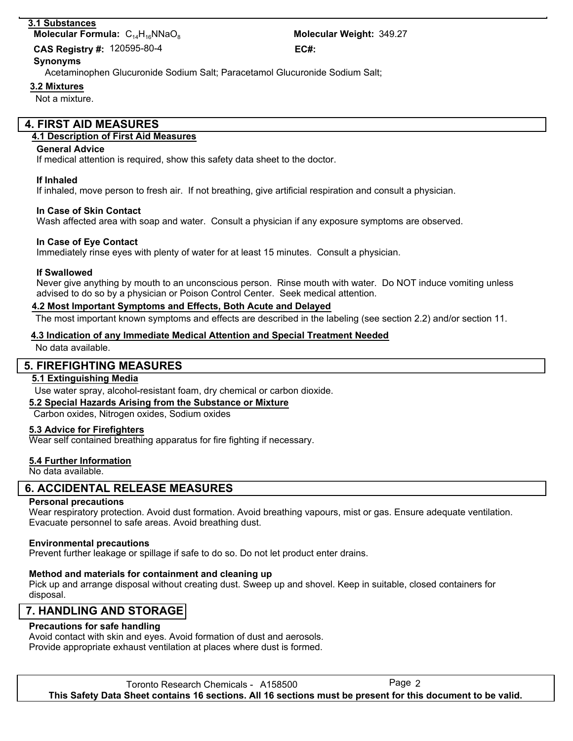#### **3.1 Substances**

**Molecular Formula:**  $C_{14}H_{16}NNaO_8$ 

Molecular Weight: 349.27 120595-80-4 **CAS Registry #: EC#:**

#### Acetaminophen Glucuronide Sodium Salt; Paracetamol Glucuronide Sodium Salt; **Synonyms**

**3.2 Mixtures**

Not a mixture.

# **4. FIRST AID MEASURES**

#### **4.1 Description of First Aid Measures**

#### **General Advice**

If medical attention is required, show this safety data sheet to the doctor.

#### **If Inhaled**

If inhaled, move person to fresh air. If not breathing, give artificial respiration and consult a physician.

#### **In Case of Skin Contact**

Wash affected area with soap and water. Consult a physician if any exposure symptoms are observed.

#### **In Case of Eye Contact**

Immediately rinse eyes with plenty of water for at least 15 minutes. Consult a physician.

#### **If Swallowed**

Never give anything by mouth to an unconscious person. Rinse mouth with water. Do NOT induce vomiting unless advised to do so by a physician or Poison Control Center. Seek medical attention.

#### **4.2 Most Important Symptoms and Effects, Both Acute and Delayed**

The most important known symptoms and effects are described in the labeling (see section 2.2) and/or section 11.

#### **4.3 Indication of any Immediate Medical Attention and Special Treatment Needed**

No data available.

# **5. FIREFIGHTING MEASURES**

#### **5.1 Extinguishing Media**

Use water spray, alcohol-resistant foam, dry chemical or carbon dioxide.

#### **5.2 Special Hazards Arising from the Substance or Mixture**

#### Carbon oxides, Nitrogen oxides, Sodium oxides

#### **5.3 Advice for Firefighters**

Wear self contained breathing apparatus for fire fighting if necessary.

# **5.4 Further Information**

No data available.

# **6. ACCIDENTAL RELEASE MEASURES**

#### **Personal precautions**

Wear respiratory protection. Avoid dust formation. Avoid breathing vapours, mist or gas. Ensure adequate ventilation. Evacuate personnel to safe areas. Avoid breathing dust.

#### **Environmental precautions**

Prevent further leakage or spillage if safe to do so. Do not let product enter drains.

#### **Method and materials for containment and cleaning up**

Pick up and arrange disposal without creating dust. Sweep up and shovel. Keep in suitable, closed containers for disposal.

# **7. HANDLING AND STORAGE**

#### **Precautions for safe handling**

Avoid contact with skin and eyes. Avoid formation of dust and aerosols. Provide appropriate exhaust ventilation at places where dust is formed.

Toronto Research Chemicals - A158500 **This Safety Data Sheet contains 16 sections. All 16 sections must be present for this document to be valid.**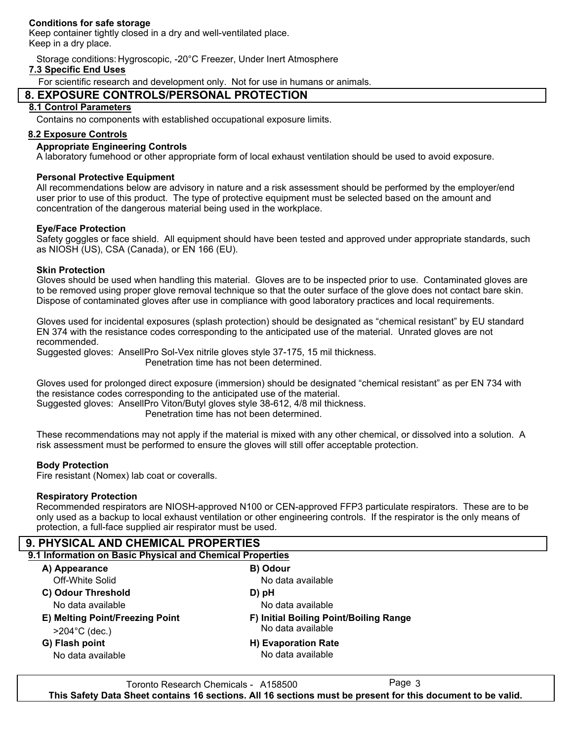#### **Conditions for safe storage**

Keep container tightly closed in a dry and well-ventilated place. Keep in a dry place.

Storage conditions: Hygroscopic, -20°C Freezer, Under Inert Atmosphere

#### **7.3 Specific End Uses**

For scientific research and development only. Not for use in humans or animals.

# **8. EXPOSURE CONTROLS/PERSONAL PROTECTION**

#### **8.1 Control Parameters**

Contains no components with established occupational exposure limits.

#### **8.2 Exposure Controls**

#### **Appropriate Engineering Controls**

A laboratory fumehood or other appropriate form of local exhaust ventilation should be used to avoid exposure.

#### **Personal Protective Equipment**

All recommendations below are advisory in nature and a risk assessment should be performed by the employer/end user prior to use of this product. The type of protective equipment must be selected based on the amount and concentration of the dangerous material being used in the workplace.

#### **Eye/Face Protection**

Safety goggles or face shield. All equipment should have been tested and approved under appropriate standards, such as NIOSH (US), CSA (Canada), or EN 166 (EU).

#### **Skin Protection**

Gloves should be used when handling this material. Gloves are to be inspected prior to use. Contaminated gloves are to be removed using proper glove removal technique so that the outer surface of the glove does not contact bare skin. Dispose of contaminated gloves after use in compliance with good laboratory practices and local requirements.

Gloves used for incidental exposures (splash protection) should be designated as "chemical resistant" by EU standard EN 374 with the resistance codes corresponding to the anticipated use of the material. Unrated gloves are not recommended.

Suggested gloves: AnsellPro Sol-Vex nitrile gloves style 37-175, 15 mil thickness.

Penetration time has not been determined.

Gloves used for prolonged direct exposure (immersion) should be designated "chemical resistant" as per EN 734 with the resistance codes corresponding to the anticipated use of the material. Suggested gloves: AnsellPro Viton/Butyl gloves style 38-612, 4/8 mil thickness.

Penetration time has not been determined.

These recommendations may not apply if the material is mixed with any other chemical, or dissolved into a solution. A risk assessment must be performed to ensure the gloves will still offer acceptable protection.

#### **Body Protection**

Fire resistant (Nomex) lab coat or coveralls.

#### **Respiratory Protection**

Recommended respirators are NIOSH-approved N100 or CEN-approved FFP3 particulate respirators. These are to be only used as a backup to local exhaust ventilation or other engineering controls. If the respirator is the only means of protection, a full-face supplied air respirator must be used.

#### **9. PHYSICAL AND CHEMICAL PROPERTIES 9.1 Information on Basic Physical and Chemical Properties A) Appearance B) Odour C) Odour Threshold D) pH E) Melting Point/Freezing Point F) Initial Boiling Point/Boiling Range G) Flash point H) Evaporation Rate** No data available No data available No data available No data available No data available No data available >204°C (dec.) Off-White Solid

Toronto Research Chemicals - A158500 **This Safety Data Sheet contains 16 sections. All 16 sections must be present for this document to be valid.**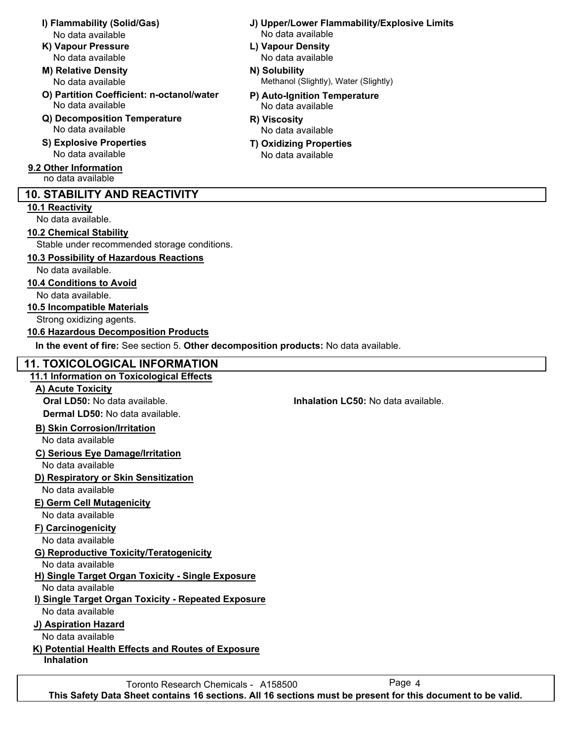- No data available No data available
- **K) Vapour Pressure L) Vapour Density**
- **M) Relative Density N) Solubility** No data available
- **O) Partition Coefficient: n-octanol/water P) Auto-Ignition Temperature** No data available No data available
- **Q) Decomposition Temperature R) Viscosity** No data available No data available
- **S) Explosive Properties T) Oxidizing Properties**
- **9.2 Other Information** no data available

# **10. STABILITY AND REACTIVITY**

### **10.1 Reactivity**

No data available.

### **10.2 Chemical Stability**

Stable under recommended storage conditions.

# **10.3 Possibility of Hazardous Reactions**

No data available.

### **10.4 Conditions to Avoid**

No data available.

### **10.5 Incompatible Materials**

Strong oxidizing agents.

### **10.6 Hazardous Decomposition Products**

**In the event of fire:** See section 5. **Other decomposition products:** No data available.

# **11. TOXICOLOGICAL INFORMATION**

### **11.1 Information on Toxicological Effects**

#### **A) Acute Toxicity**

**Oral LD50:** No data available. **Inhalation LC50:** No data available. **Dermal LD50:** No data available.

# **B) Skin Corrosion/Irritation**

No data available

# **C) Serious Eye Damage/Irritation**

No data available

# **D) Respiratory or Skin Sensitization**

No data available

# **E) Germ Cell Mutagenicity**

No data available

# **F) Carcinogenicity**

No data available

# **G) Reproductive Toxicity/Teratogenicity**

No data available

# **H) Single Target Organ Toxicity - Single Exposure**

No data available

# **I) Single Target Organ Toxicity - Repeated Exposure**

No data available

# **J) Aspiration Hazard**

No data available

# **K) Potential Health Effects and Routes of Exposure**

**Inhalation**

- **I) Flammability (Solid/Gas) J) Upper/Lower Flammability/Explosive Limits**
	- No data available No data available
		- Methanol (Slightly), Water (Slightly)
		- -
		- No data available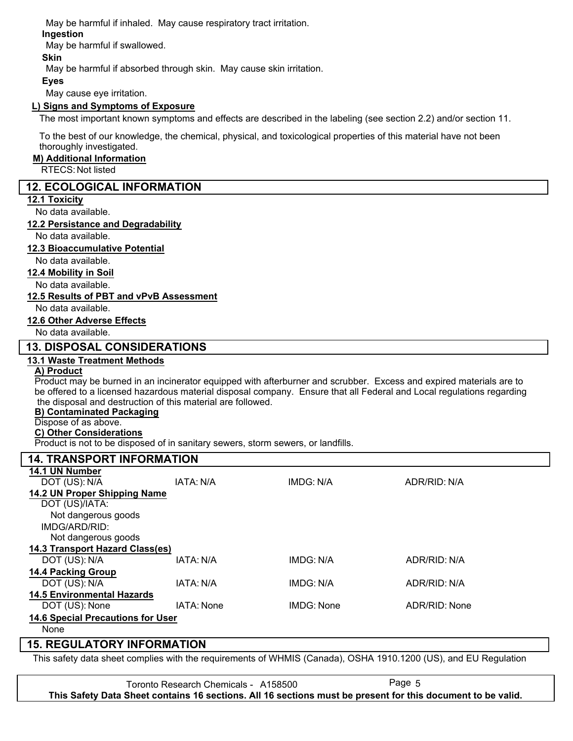May be harmful if inhaled. May cause respiratory tract irritation.

### **Ingestion**

May be harmful if swallowed.

### **Skin**

May be harmful if absorbed through skin. May cause skin irritation.

#### **Eyes**

May cause eye irritation.

#### **L) Signs and Symptoms of Exposure**

The most important known symptoms and effects are described in the labeling (see section 2.2) and/or section 11.

To the best of our knowledge, the chemical, physical, and toxicological properties of this material have not been thoroughly investigated.

#### **M) Additional Information**

RTECS: Not listed

### **12. ECOLOGICAL INFORMATION**

#### **12.1 Toxicity**

No data available.

#### **12.2 Persistance and Degradability**

No data available.

#### **12.3 Bioaccumulative Potential**

No data available.

#### **12.4 Mobility in Soil**

No data available.

#### **12.5 Results of PBT and vPvB Assessment**

No data available.

#### **12.6 Other Adverse Effects**

No data available.

# **13. DISPOSAL CONSIDERATIONS**

#### **13.1 Waste Treatment Methods**

# **A) Product**

Product may be burned in an incinerator equipped with afterburner and scrubber. Excess and expired materials are to be offered to a licensed hazardous material disposal company. Ensure that all Federal and Local regulations regarding the disposal and destruction of this material are followed.

#### **B) Contaminated Packaging**

# Dispose of as above.

**C) Other Considerations**

Product is not to be disposed of in sanitary sewers, storm sewers, or landfills.

#### **14. TRANSPORT INFORMATION 14.1 UN Number** DOT (US): N/A IATA: N/A IMDG: N/A ADR/RID: N/A **14.2 UN Proper Shipping Name** DOT (US)/IATA: IMDG/ARD/RID: Not dangerous goods Not dangerous goods **14.3 Transport Hazard Class(es)** DOT (US): N/A IATA: N/A IMDG: N/A ADR/RID: N/A **14.4 Packing Group** DOT (US): N/A IATA: N/A IMDG: N/A IMDG: N/A ADR/RID: N/A **14.5 Environmental Hazards** DOT (US): None IATA: None IMDG: None ADR/RID: None **14.6 Special Precautions for User** None

# **15. REGULATORY INFORMATION**

This safety data sheet complies with the requirements of WHMIS (Canada), OSHA 1910.1200 (US), and EU Regulation

Toronto Research Chemicals - A158500 **This Safety Data Sheet contains 16 sections. All 16 sections must be present for this document to be valid.**